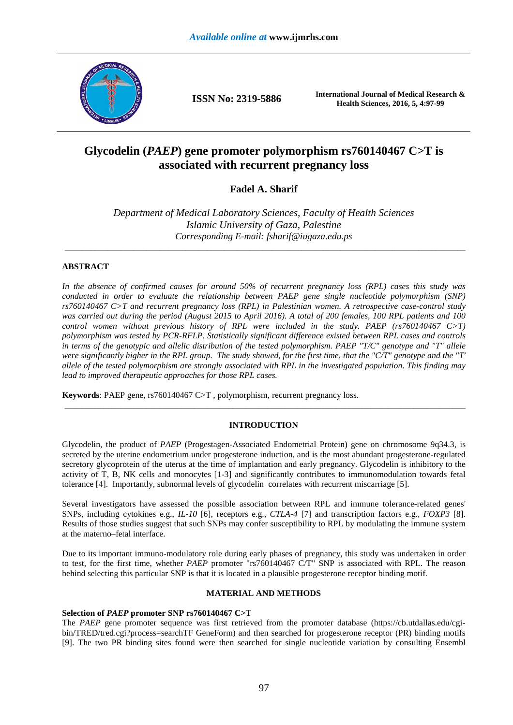

**ISSN No: 2319-5886 International Journal of Medical Research & Health Sciences, 2016, 5, 4:97-99**

# **Glycodelin (***PAEP***) gene promoter polymorphism rs760140467 C>T is associated with recurrent pregnancy loss**

# **Fadel A. Sharif**

*Department of Medical Laboratory Sciences, Faculty of Health Sciences Islamic University of Gaza, Palestine Corresponding E-mail: fsharif@iugaza.edu.ps*

\_\_\_\_\_\_\_\_\_\_\_\_\_\_\_\_\_\_\_\_\_\_\_\_\_\_\_\_\_\_\_\_\_\_\_\_\_\_\_\_\_\_\_\_\_\_\_\_\_\_\_\_\_\_\_\_\_\_\_\_\_\_\_\_\_\_\_\_\_\_\_\_\_\_\_\_\_\_\_\_\_\_\_\_\_\_\_\_\_\_\_\_\_

# **ABSTRACT**

*In the absence of confirmed causes for around 50% of recurrent pregnancy loss (RPL) cases this study was conducted in order to evaluate the relationship between PAEP gene single nucleotide polymorphism (SNP) rs760140467 C>T and recurrent pregnancy loss (RPL) in Palestinian women. A retrospective case-control study was carried out during the period (August 2015 to April 2016). A total of 200 females, 100 RPL patients and 100 control women without previous history of RPL were included in the study. PAEP (rs760140467 C>T) polymorphism was tested by PCR-RFLP. Statistically significant difference existed between RPL cases and controls in terms of the genotypic and allelic distribution of the tested polymorphism. PAEP "T/C" genotype and "T" allele were significantly higher in the RPL group. The study showed, for the first time, that the "C/T" genotype and the "T' allele of the tested polymorphism are strongly associated with RPL in the investigated population. This finding may lead to improved therapeutic approaches for those RPL cases.* 

**Keywords**: PAEP gene, rs760140467 C>T , polymorphism, recurrent pregnancy loss.

# **INTRODUCTION**

\_\_\_\_\_\_\_\_\_\_\_\_\_\_\_\_\_\_\_\_\_\_\_\_\_\_\_\_\_\_\_\_\_\_\_\_\_\_\_\_\_\_\_\_\_\_\_\_\_\_\_\_\_\_\_\_\_\_\_\_\_\_\_\_\_\_\_\_\_\_\_\_\_\_\_\_\_\_\_\_\_\_\_\_\_\_\_\_\_\_\_\_\_

Glycodelin, the product of *PAEP* (Progestagen-Associated Endometrial Protein) gene on chromosome 9q34.3, is secreted by the uterine endometrium under progesterone induction, and is the most abundant progesterone-regulated secretory glycoprotein of the uterus at the time of implantation and early pregnancy. Glycodelin is inhibitory to the activity of T, B, NK cells and monocytes [1-3] and significantly contributes to immunomodulation towards fetal tolerance [4]. Importantly, subnormal levels of glycodelin correlates with recurrent miscarriage [5].

Several investigators have assessed the possible association between RPL and immune tolerance-related genes' SNPs, including cytokines e.g., *IL-10* [6], receptors e.g., *CTLA-4* [7] and transcription factors e.g., *FOXP3* [8]. Results of those studies suggest that such SNPs may confer susceptibility to RPL by modulating the immune system at the materno–fetal interface.

Due to its important immuno-modulatory role during early phases of pregnancy, this study was undertaken in order to test, for the first time, whether *PAEP* promoter "rs760140467 C/T" SNP is associated with RPL. The reason behind selecting this particular SNP is that it is located in a plausible progesterone receptor binding motif.

## **MATERIAL AND METHODS**

# **Selection of** *PAEP* **promoter SNP rs760140467 C>T**

The *PAEP* gene promoter sequence was first retrieved from the promoter database (https://cb.utdallas.edu/cgibin/TRED/tred.cgi?process=searchTF GeneForm) and then searched for progesterone receptor (PR) binding motifs [9]. The two PR binding sites found were then searched for single nucleotide variation by consulting Ensembl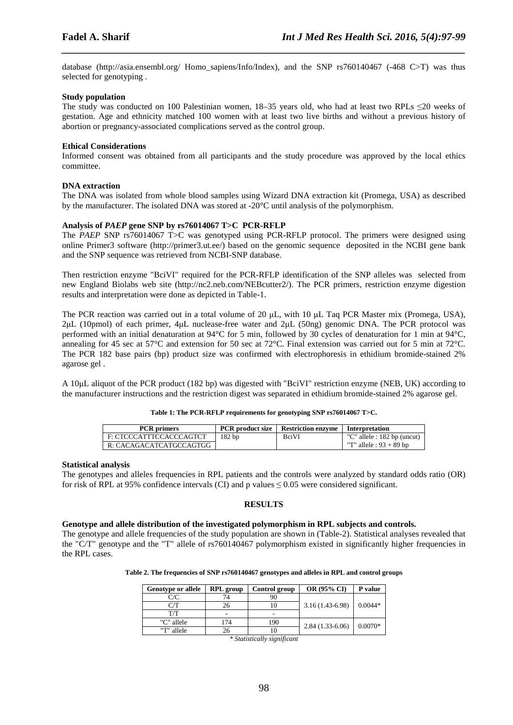database (http://asia.ensembl.org/ Homo\_sapiens/Info/Index), and the SNP rs760140467 (-468 C>T) was thus selected for genotyping .

*\_\_\_\_\_\_\_\_\_\_\_\_\_\_\_\_\_\_\_\_\_\_\_\_\_\_\_\_\_\_\_\_\_\_\_\_\_\_\_\_\_\_\_\_\_\_\_\_\_\_\_\_\_\_\_\_\_\_\_\_\_\_\_\_\_\_\_\_\_\_\_\_\_\_\_\_\_\_*

#### **Study population**

The study was conducted on 100 Palestinian women, 18–35 years old, who had at least two RPLs ≤20 weeks of gestation. Age and ethnicity matched 100 women with at least two live births and without a previous history of abortion or pregnancy-associated complications served as the control group.

#### **Ethical Considerations**

Informed consent was obtained from all participants and the study procedure was approved by the local ethics committee.

#### **DNA extraction**

The DNA was isolated from whole blood samples using Wizard DNA extraction kit (Promega, USA) as described by the manufacturer. The isolated DNA was stored at -20°C until analysis of the polymorphism.

#### **Analysis of** *PAEP* **gene SNP by rs76014067 T>C PCR-RFLP**

The *PAEP* SNP rs76014067 T>C was genotyped using PCR-RFLP protocol. The primers were designed using online Primer3 software (http://primer3.ut.ee/) based on the genomic sequence deposited in the NCBI gene bank and the SNP sequence was retrieved from NCBI-SNP database.

Then restriction enzyme "BciVI" required for the PCR-RFLP identification of the SNP alleles was selected from new England Biolabs web site (http://nc2.neb.com/NEBcutter2/). The PCR primers, restriction enzyme digestion results and interpretation were done as depicted in Table-1.

The PCR reaction was carried out in a total volume of 20  $\mu$ L, with 10  $\mu$ L Taq PCR Master mix (Promega, USA), 2µL (10pmol) of each primer, 4µL nuclease-free water and 2µL (50ng) genomic DNA. The PCR protocol was performed with an initial denaturation at 94°C for 5 min, followed by 30 cycles of denaturation for 1 min at 94°C, annealing for 45 sec at 57°C and extension for 50 sec at 72°C. Final extension was carried out for 5 min at 72°C. The PCR 182 base pairs (bp) product size was confirmed with electrophoresis in ethidium bromide-stained 2% agarose gel .

A 10µL aliquot of the PCR product (182 bp) was digested with "BciVI" restriction enzyme (NEB, UK) according to the manufacturer instructions and the restriction digest was separated in ethidium bromide-stained 2% agarose gel.

#### **Table 1: The PCR-RFLP requirements for genotyping SNP rs76014067 T>C.**

| <b>PCR</b> primers      |                   | <b>PCR</b> product size   Restriction enzyme | Interpretation              |
|-------------------------|-------------------|----------------------------------------------|-----------------------------|
| F: CTCCCATTTCCACCCAGTCT | 182 <sub>bp</sub> | BciVI                                        | "C" allele : 182 bp (uncut) |
| R: CACAGACATCATGCCAGTGG |                   |                                              | "T" allele : $93 + 89$ bp   |

#### **Statistical analysis**

The genotypes and alleles frequencies in RPL patients and the controls were analyzed by standard odds ratio (OR) for risk of RPL at 95% confidence intervals (CI) and p values  $\leq 0.05$  were considered significant.

# **RESULTS**

#### **Genotype and allele distribution of the investigated polymorphism in RPL subjects and controls.**

The genotype and allele frequencies of the study population are shown in (Table-2). Statistical analyses revealed that the "C/T" genotype and the "T" allele of rs760140467 polymorphism existed in significantly higher frequencies in the RPL cases.

**Table 2. The frequencies of SNP rs760140467 genotypes and alleles in RPL and control groups** 

| <b>Genotype or allele</b> | <b>RPL</b> group | Control group            | <b>OR (95% CI)</b> | P value   |
|---------------------------|------------------|--------------------------|--------------------|-----------|
| C/C                       | 74               | 90                       |                    |           |
| $\Box T$                  | 26               |                          | $3.16(1.43-6.98)$  | $0.0044*$ |
| T/T                       | -                | $\overline{\phantom{a}}$ |                    |           |
| "C" allele                | 174              | 190                      | $2.84(1.33-6.06)$  | $0.0070*$ |
| "T" allele                | 26               |                          |                    |           |

*\* Statistically significant*